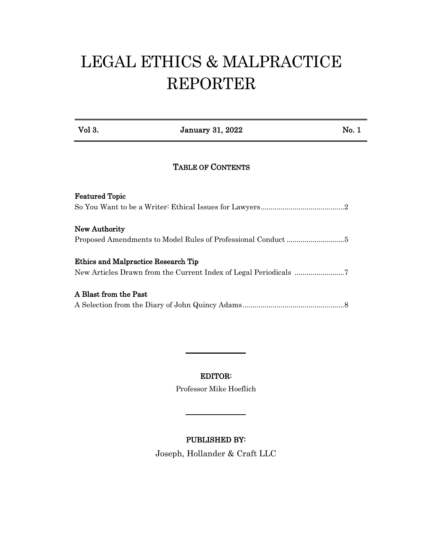# LEGAL ETHICS & MALPRACTICE REPORTER

Vol 3. Sanuary 31, 2022 No. 1

## TABLE OF CONTENTS

| <b>Featured Topic</b>                                            |  |
|------------------------------------------------------------------|--|
|                                                                  |  |
|                                                                  |  |
| New Authority                                                    |  |
|                                                                  |  |
| Ethics and Malpractice Research Tip                              |  |
| New Articles Drawn from the Current Index of Legal Periodicals 7 |  |
| A Blast from the Past                                            |  |
|                                                                  |  |

# EDITOR:

Professor Mike Hoeflich

#### PUBLISHED BY:

Joseph, Hollander & Craft LLC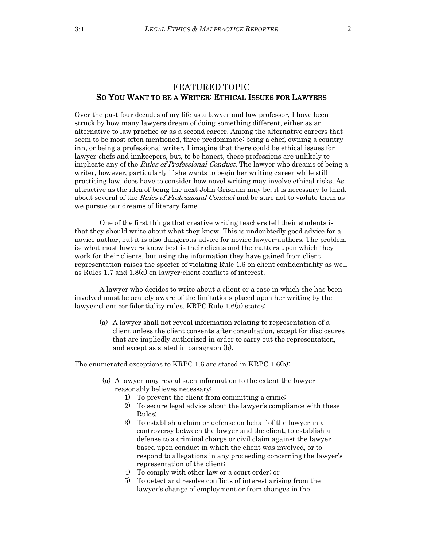#### FEATURED TOPIC SO YOU WANT TO BE A WRITER: ETHICAL ISSUES FOR LAWYERS

Over the past four decades of my life as a lawyer and law professor, I have been struck by how many lawyers dream of doing something different, either as an alternative to law practice or as a second career. Among the alternative careers that seem to be most often mentioned, three predominate: being a chef, owning a country inn, or being a professional writer. I imagine that there could be ethical issues for lawyer-chefs and innkeepers, but, to be honest, these professions are unlikely to implicate any of the *Rules of Professional Conduct*. The lawyer who dreams of being a writer, however, particularly if she wants to begin her writing career while still practicing law, does have to consider how novel writing may involve ethical risks. As attractive as the idea of being the next John Grisham may be, it is necessary to think about several of the Rules of Professional Conduct and be sure not to violate them as we pursue our dreams of literary fame.

One of the first things that creative writing teachers tell their students is that they should write about what they know. This is undoubtedly good advice for a novice author, but it is also dangerous advice for novice lawyer-authors. The problem is: what most lawyers know best is their clients and the matters upon which they work for their clients, but using the information they have gained from client representation raises the specter of violating Rule 1.6 on client confidentiality as well as Rules 1.7 and 1.8(d) on lawyer-client conflicts of interest.

A lawyer who decides to write about a client or a case in which she has been involved must be acutely aware of the limitations placed upon her writing by the lawyer-client confidentiality rules. KRPC Rule 1.6(a) states:

(a) A lawyer shall not reveal information relating to representation of a client unless the client consents after consultation, except for disclosures that are impliedly authorized in order to carry out the representation, and except as stated in paragraph (b).

The enumerated exceptions to KRPC 1.6 are stated in KRPC 1.6(b):

- (a) A lawyer may reveal such information to the extent the lawyer reasonably believes necessary:
	- 1) To prevent the client from committing a crime;
	- 2) To secure legal advice about the lawyer's compliance with these Rules;
	- 3) To establish a claim or defense on behalf of the lawyer in a controversy between the lawyer and the client, to establish a defense to a criminal charge or civil claim against the lawyer based upon conduct in which the client was involved, or to respond to allegations in any proceeding concerning the lawyer's representation of the client;
	- 4) To comply with other law or a court order; or
	- 5) To detect and resolve conflicts of interest arising from the lawyer's change of employment or from changes in the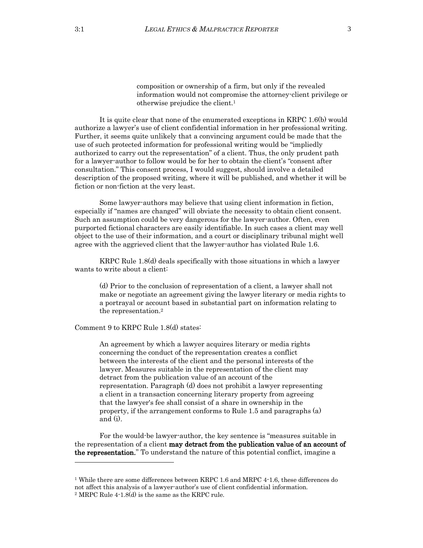composition or ownership of a firm, but only if the revealed information would not compromise the attorney-client privilege or otherwise prejudice the client.<sup>1</sup>

It is quite clear that none of the enumerated exceptions in KRPC 1.6(b) would authorize a lawyer's use of client confidential information in her professional writing. Further, it seems quite unlikely that a convincing argument could be made that the use of such protected information for professional writing would be "impliedly authorized to carry out the representation" of a client. Thus, the only prudent path for a lawyer-author to follow would be for her to obtain the client's "consent after consultation." This consent process, I would suggest, should involve a detailed description of the proposed writing, where it will be published, and whether it will be fiction or non-fiction at the very least.

Some lawyer-authors may believe that using client information in fiction, especially if "names are changed" will obviate the necessity to obtain client consent. Such an assumption could be very dangerous for the lawyer-author. Often, even purported fictional characters are easily identifiable. In such cases a client may well object to the use of their information, and a court or disciplinary tribunal might well agree with the aggrieved client that the lawyer-author has violated Rule 1.6.

KRPC Rule 1.8(d) deals specifically with those situations in which a lawyer wants to write about a client:

(d) Prior to the conclusion of representation of a client, a lawyer shall not make or negotiate an agreement giving the lawyer literary or media rights to a portrayal or account based in substantial part on information relating to the representation.<sup>2</sup>

Comment 9 to KRPC Rule 1.8(d) states:

An agreement by which a lawyer acquires literary or media rights concerning the conduct of the representation creates a conflict between the interests of the client and the personal interests of the lawyer. Measures suitable in the representation of the client may detract from the publication value of an account of the representation. Paragraph (d) does not prohibit a lawyer representing a client in a transaction concerning literary property from agreeing that the lawyer's fee shall consist of a share in ownership in the property, if the arrangement conforms to Rule 1.5 and paragraphs (a) and (i).

For the would-be lawyer-author, the key sentence is "measures suitable in the representation of a client **may detract from the publication value of an account of** the representation." To understand the nature of this potential conflict, imagine a

 $\overline{a}$ 

<sup>&</sup>lt;sup>1</sup> While there are some differences between KRPC 1.6 and MRPC 4-1.6, these differences do not affect this analysis of a lawyer-author's use of client confidential information. <sup>2</sup> MRPC Rule 4-1.8(d) is the same as the KRPC rule.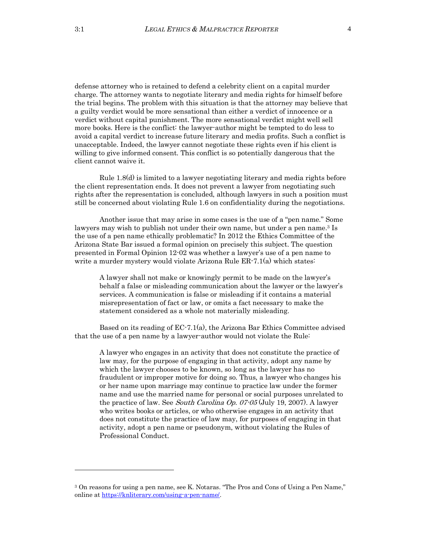defense attorney who is retained to defend a celebrity client on a capital murder charge. The attorney wants to negotiate literary and media rights for himself before the trial begins. The problem with this situation is that the attorney may believe that a guilty verdict would be more sensational than either a verdict of innocence or a verdict without capital punishment. The more sensational verdict might well sell more books. Here is the conflict: the lawyer-author might be tempted to do less to avoid a capital verdict to increase future literary and media profits. Such a conflict is unacceptable. Indeed, the lawyer cannot negotiate these rights even if his client is willing to give informed consent. This conflict is so potentially dangerous that the client cannot waive it.

Rule 1.8(d) is limited to a lawyer negotiating literary and media rights before the client representation ends. It does not prevent a lawyer from negotiating such rights after the representation is concluded, although lawyers in such a position must still be concerned about violating Rule 1.6 on confidentiality during the negotiations.

Another issue that may arise in some cases is the use of a "pen name." Some lawyers may wish to publish not under their own name, but under a pen name.<sup>3</sup> Is the use of a pen name ethically problematic? In 2012 the Ethics Committee of the Arizona State Bar issued a formal opinion on precisely this subject. The question presented in Formal Opinion 12-02 was whether a lawyer's use of a pen name to write a murder mystery would violate Arizona Rule ER-7.1(a) which states:

A lawyer shall not make or knowingly permit to be made on the lawyer's behalf a false or misleading communication about the lawyer or the lawyer's services. A communication is false or misleading if it contains a material misrepresentation of fact or law, or omits a fact necessary to make the statement considered as a whole not materially misleading.

Based on its reading of EC-7.1(a), the Arizona Bar Ethics Committee advised that the use of a pen name by a lawyer-author would not violate the Rule:

A lawyer who engages in an activity that does not constitute the practice of law may, for the purpose of engaging in that activity, adopt any name by which the lawyer chooses to be known, so long as the lawyer has no fraudulent or improper motive for doing so. Thus, a lawyer who changes his or her name upon marriage may continue to practice law under the former name and use the married name for personal or social purposes unrelated to the practice of law. See South Carolina Op. 07-05 (July 19, 2007). A lawyer who writes books or articles, or who otherwise engages in an activity that does not constitute the practice of law may, for purposes of engaging in that activity, adopt a pen name or pseudonym, without violating the Rules of Professional Conduct.

 $\overline{a}$ 

<sup>3</sup> On reasons for using a pen name, see K. Notaras. "The Pros and Cons of Using a Pen Name," online at [https://knliterary.com/using-a-pen-name/.](https://knliterary.com/using-a-pen-name/)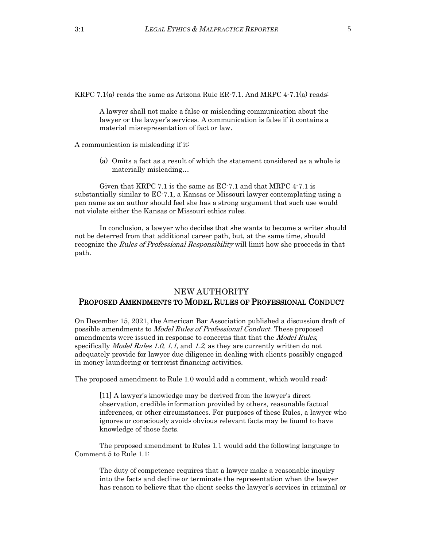KRPC 7.1(a) reads the same as Arizona Rule ER-7.1. And MRPC 4-7.1(a) reads:

A lawyer shall not make a false or misleading communication about the lawyer or the lawyer's services. A communication is false if it contains a material misrepresentation of fact or law.

A communication is misleading if it:

(a) Omits a fact as a result of which the statement considered as a whole is materially misleading…

Given that KRPC 7.1 is the same as EC-7.1 and that MRPC 4-7.1 is substantially similar to EC-7.1, a Kansas or Missouri lawyer contemplating using a pen name as an author should feel she has a strong argument that such use would not violate either the Kansas or Missouri ethics rules.

In conclusion, a lawyer who decides that she wants to become a writer should not be deterred from that additional career path, but, at the same time, should recognize the *Rules of Professional Responsibility* will limit how she proceeds in that path.

#### NEW AUTHORITY PROPOSED AMENDMENTS TO MODEL RULES OF PROFESSIONAL CONDUCT

On December 15, 2021, the American Bar Association published a discussion draft of possible amendments to Model Rules of Professional Conduct. These proposed amendments were issued in response to concerns that that the Model Rules, specifically *Model Rules 1.0, 1.1,* and 1.2, as they are currently written do not adequately provide for lawyer due diligence in dealing with clients possibly engaged in money laundering or terrorist financing activities.

The proposed amendment to Rule 1.0 would add a comment, which would read:

[11] A lawyer's knowledge may be derived from the lawyer's direct observation, credible information provided by others, reasonable factual inferences, or other circumstances. For purposes of these Rules, a lawyer who ignores or consciously avoids obvious relevant facts may be found to have knowledge of those facts.

The proposed amendment to Rules 1.1 would add the following language to Comment 5 to Rule 1.1:

The duty of competence requires that a lawyer make a reasonable inquiry into the facts and decline or terminate the representation when the lawyer has reason to believe that the client seeks the lawyer's services in criminal or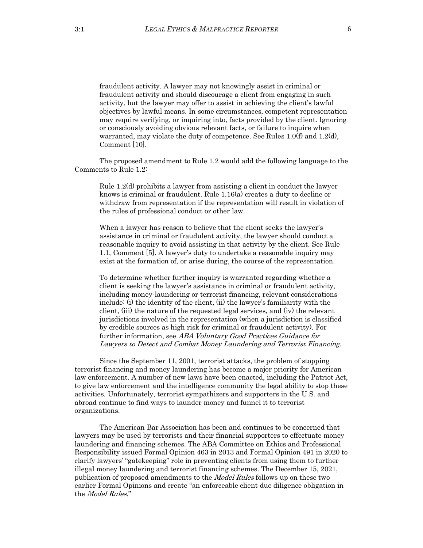fraudulent activity. A lawyer may not knowingly assist in criminal or fraudulent activity and should discourage a client from engaging in such activity, but the lawyer may offer to assist in achieving the client's lawful objectives by lawful means. In some circumstances, competent representation may require verifying, or inquiring into, facts provided by the client. Ignoring or consciously avoiding obvious relevant facts, or failure to inquire when warranted, may violate the duty of competence. See Rules 1.0(f) and 1.2(d), Comment [10].

The proposed amendment to Rule 1.2 would add the following language to the Comments to Rule 1.2:

Rule 1.2(d) prohibits a lawyer from assisting a client in conduct the lawyer knows is criminal or fraudulent. Rule 1.16(a) creates a duty to decline or withdraw from representation if the representation will result in violation of the rules of professional conduct or other law.

When a lawyer has reason to believe that the client seeks the lawyer's assistance in criminal or fraudulent activity, the lawyer should conduct a reasonable inquiry to avoid assisting in that activity by the client. See Rule 1.1, Comment [5]. A lawyer's duty to undertake a reasonable inquiry may exist at the formation of, or arise during, the course of the representation.

To determine whether further inquiry is warranted regarding whether a client is seeking the lawyer's assistance in criminal or fraudulent activity, including money-laundering or terrorist financing, relevant considerations include: (i) the identity of the client, (ii) the lawyer's familiarity with the client, (iii) the nature of the requested legal services, and (iv) the relevant jurisdictions involved in the representation (when a jurisdiction is classified by credible sources as high risk for criminal or fraudulent activity). For further information, see ABA Voluntary Good Practices Guidance for Lawyers to Detect and Combat Money Laundering and Terrorist Financing.

Since the September 11, 2001, terrorist attacks, the problem of stopping terrorist financing and money laundering has become a major priority for American law enforcement. A number of new laws have been enacted, including the Patriot Act, to give law enforcement and the intelligence community the legal ability to stop these activities. Unfortunately, terrorist sympathizers and supporters in the U.S. and abroad continue to find ways to launder money and funnel it to terrorist organizations.

The American Bar Association has been and continues to be concerned that lawyers may be used by terrorists and their financial supporters to effectuate money laundering and financing schemes. The ABA Committee on Ethics and Professional Responsibility issued Formal Opinion 463 in 2013 and Formal Opinion 491 in 2020 to clarify lawyers' "gatekeeping" role in preventing clients from using them to further illegal money laundering and terrorist financing schemes. The December 15, 2021, publication of proposed amendments to the *Model Rules* follows up on these two earlier Formal Opinions and create "an enforceable client due diligence obligation in the Model Rules."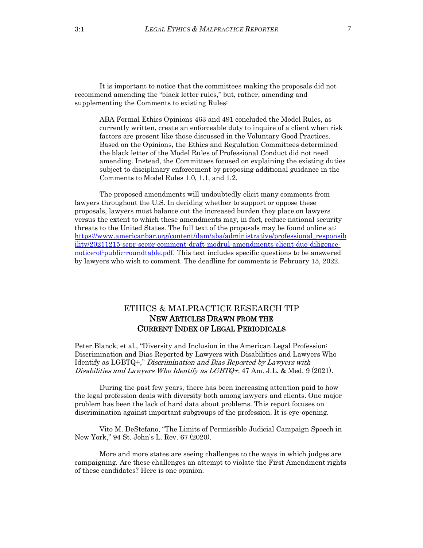It is important to notice that the committees making the proposals did not recommend amending the "black letter rules," but, rather, amending and supplementing the Comments to existing Rules:

ABA Formal Ethics Opinions 463 and 491 concluded the Model Rules, as currently written, create an enforceable duty to inquire of a client when risk factors are present like those discussed in the Voluntary Good Practices. Based on the Opinions, the Ethics and Regulation Committees determined the black letter of the Model Rules of Professional Conduct did not need amending. Instead, the Committees focused on explaining the existing duties subject to disciplinary enforcement by proposing additional guidance in the Comments to Model Rules 1.0, 1.1, and 1.2.

The proposed amendments will undoubtedly elicit many comments from lawyers throughout the U.S. In deciding whether to support or oppose these proposals, lawyers must balance out the increased burden they place on lawyers versus the extent to which these amendments may, in fact, reduce national security threats to the United States. The full text of the proposals may be found online at: [https://www.americanbar.org/content/dam/aba/administrative/professional\\_responsib](https://www.americanbar.org/content/dam/aba/administrative/professional_responsibility/20211215-scpr-scepr-comment-draft-modrul-amendments-client-due-diligence-notice-of-public-roundtable.pdf) [ility/20211215-scpr-scepr-comment-draft-modrul-amendments-client-due-diligence](https://www.americanbar.org/content/dam/aba/administrative/professional_responsibility/20211215-scpr-scepr-comment-draft-modrul-amendments-client-due-diligence-notice-of-public-roundtable.pdf)[notice-of-public-roundtable.pdf.](https://www.americanbar.org/content/dam/aba/administrative/professional_responsibility/20211215-scpr-scepr-comment-draft-modrul-amendments-client-due-diligence-notice-of-public-roundtable.pdf) This text includes specific questions to be answered by lawyers who wish to comment. The deadline for comments is February 15, 2022.

## ETHICS & MALPRACTICE RESEARCH TIP NEW ARTICLES DRAWN FROM THE CURRENT INDEX OF LEGAL PERIODICALS

Peter Blanck, et al., "Diversity and Inclusion in the American Legal Profession: Discrimination and Bias Reported by Lawyers with Disabilities and Lawyers Who Identify as LGBTQ+," Discrimination and Bias Reported by Lawyers with Disabilities and Lawyers Who Identify as  $LGBTQ+$ . 47 Am. J.L. & Med. 9 (2021).

During the past few years, there has been increasing attention paid to how the legal profession deals with diversity both among lawyers and clients. One major problem has been the lack of hard data about problems. This report focuses on discrimination against important subgroups of the profession. It is every opening.

Vito M. DeStefano, "The Limits of Permissible Judicial Campaign Speech in New York," 94 St. John's L. Rev. 67 (2020).

More and more states are seeing challenges to the ways in which judges are campaigning. Are these challenges an attempt to violate the First Amendment rights of these candidates? Here is one opinion.